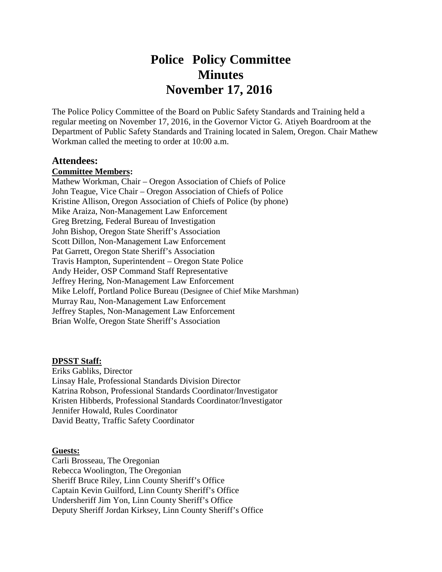# **Police Policy Committee**<br>Minutes **Minutes November 17, 2016**

The Police Policy Committee of the Board on Public Safety Standards and Training held a regular meeting on November 17, 2016, in the Governor Victor G. Atiyeh Boardroom at the Department of Public Safety Standards and Training located in Salem, Oregon. Chair Mathew Workman called the meeting to order at 10:00 a.m.

#### **Attendees:**

### **Committee Members:**

Mathew Workman, Chair – Oregon Association of Chiefs of Police John Teague, Vice Chair – Oregon Association of Chiefs of Police Kristine Allison, Oregon Association of Chiefs of Police (by phone) Mike Araiza, Non-Management Law Enforcement Greg Bretzing, Federal Bureau of Investigation John Bishop, Oregon State Sheriff's Association Scott Dillon, Non-Management Law Enforcement Pat Garrett, Oregon State Sheriff's Association Travis Hampton, Superintendent – Oregon State Police Andy Heider, OSP Command Staff Representative Jeffrey Hering, Non-Management Law Enforcement Mike Leloff, Portland Police Bureau (Designee of Chief Mike Marshman) Murray Rau, Non-Management Law Enforcement Jeffrey Staples, Non-Management Law Enforcement Brian Wolfe, Oregon State Sheriff's Association

#### **DPSST Staff:**

Eriks Gabliks, Director Linsay Hale, Professional Standards Division Director Katrina Robson, Professional Standards Coordinator/Investigator Kristen Hibberds, Professional Standards Coordinator/Investigator Jennifer Howald, Rules Coordinator David Beatty, Traffic Safety Coordinator

#### **Guests:**

Carli Brosseau, The Oregonian Rebecca Woolington, The Oregonian Sheriff Bruce Riley, Linn County Sheriff's Office Captain Kevin Guilford, Linn County Sheriff's Office Undersheriff Jim Yon, Linn County Sheriff's Office Deputy Sheriff Jordan Kirksey, Linn County Sheriff's Office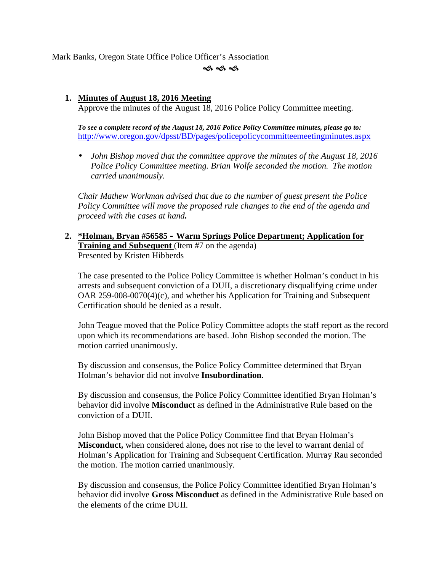Mark Banks, Oregon State Office Police Officer's Association

ৰ্ক ৰ্ক ৰ্ক

## **1. Minutes of August 18, 2016 Meeting**

Approve the minutes of the August 18, 2016 Police Policy Committee meeting.

*To see a complete record of the August 18, 2016 Police Policy Committee minutes, please go to:* http://www.oregon.gov/dpsst/BD/pages/policepolicycommitteemeetingminutes.aspx

 *John Bishop moved that the committee approve the minutes of the August 18, 2016 Police Policy Committee meeting. Brian Wolfe seconded the motion. The motion carried unanimously.*

*Chair Mathew Workman advised that due to the number of guest present the Police Policy Committee will move the proposed rule changes to the end of the agenda and proceed with the cases at hand.*

**2. \*Holman, Bryan #56585 – Warm Springs Police Department; Application for Training and Subsequent** (Item #7 on the agenda) Presented by Kristen Hibberds

The case presented to the Police Policy Committee is whether Holman's conduct in his arrests and subsequent conviction of a DUII, a discretionary disqualifying crime under OAR 259-008-0070(4)(c), and whether his Application for Training and Subsequent Certification should be denied as a result.

John Teague moved that the Police Policy Committee adopts the staff report as the record upon which its recommendations are based. John Bishop seconded the motion. The motion carried unanimously.

By discussion and consensus, the Police Policy Committee determined that Bryan Holman's behavior did not involve **Insubordination**.

By discussion and consensus, the Police Policy Committee identified Bryan Holman's behavior did involve **Misconduct** as defined in the Administrative Rule based on the conviction of a DUII.

John Bishop moved that the Police Policy Committee find that Bryan Holman's **Misconduct,** when considered alone**,** does not rise to the level to warrant denial of Holman's Application for Training and Subsequent Certification. Murray Rau seconded the motion. The motion carried unanimously.

By discussion and consensus, the Police Policy Committee identified Bryan Holman's behavior did involve **Gross Misconduct** as defined in the Administrative Rule based on the elements of the crime DUII.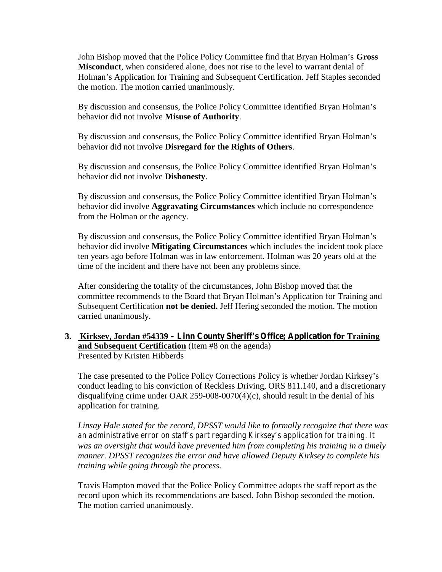John Bishop moved that the Police Policy Committee find that Bryan Holman's **Gross Misconduct**, when considered alone, does not rise to the level to warrant denial of Holman's Application for Training and Subsequent Certification. Jeff Staples seconded the motion. The motion carried unanimously.

By discussion and consensus, the Police Policy Committee identified Bryan Holman's behavior did not involve **Misuse of Authority**.

By discussion and consensus, the Police Policy Committee identified Bryan Holman's behavior did not involve **Disregard for the Rights of Others**.

By discussion and consensus, the Police Policy Committee identified Bryan Holman's behavior did not involve **Dishonesty**.

By discussion and consensus, the Police Policy Committee identified Bryan Holman's behavior did involve **Aggravating Circumstances** which include no correspondence from the Holman or the agency.

By discussion and consensus, the Police Policy Committee identified Bryan Holman's behavior did involve **Mitigating Circumstances** which includes the incident took place ten years ago before Holman was in law enforcement. Holman was 20 years old at the time of the incident and there have not been any problems since.

After considering the totality of the circumstances, John Bishop moved that the committee recommends to the Board that Bryan Holman's Application for Training and Subsequent Certification **not be denied.** Jeff Hering seconded the motion. The motion carried unanimously.

## **3. Kirksey, Jordan #54339 – Linn County Sheriff's Office; Application for Training and Subsequent Certification** (Item #8 on the agenda) Presented by Kristen Hibberds

The case presented to the Police Policy Corrections Policy is whether Jordan Kirksey's conduct leading to his conviction of Reckless Driving, ORS 811.140, and a discretionary disqualifying crime under OAR 259-008-0070(4)(c), should result in the denial of his application for training.

*Linsay Hale stated for the record, DPSST would like to formally recognize that there was an administrative error on staff's part regarding Kirksey's application for training. It was an oversight that would have prevented him from completing his training in a timely manner. DPSST recognizes the error and have allowed Deputy Kirksey to complete his training while going through the process.*

Travis Hampton moved that the Police Policy Committee adopts the staff report as the record upon which its recommendations are based. John Bishop seconded the motion. The motion carried unanimously.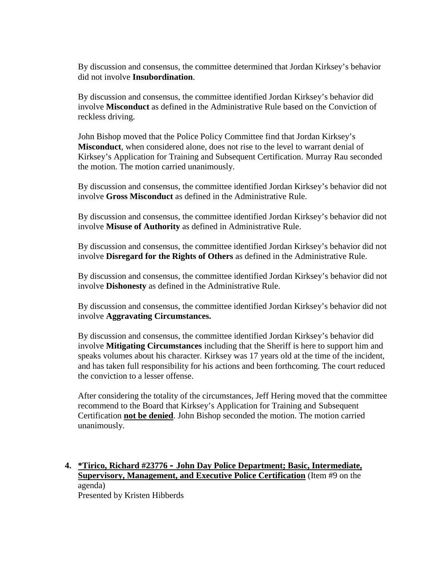By discussion and consensus, the committee determined that Jordan Kirksey's behavior did not involve **Insubordination**.

By discussion and consensus, the committee identified Jordan Kirksey's behavior did involve **Misconduct** as defined in the Administrative Rule based on the Conviction of reckless driving.

John Bishop moved that the Police Policy Committee find that Jordan Kirksey's **Misconduct**, when considered alone, does not rise to the level to warrant denial of Kirksey's Application for Training and Subsequent Certification. Murray Rau seconded the motion. The motion carried unanimously.

By discussion and consensus, the committee identified Jordan Kirksey's behavior did not involve **Gross Misconduct** as defined in the Administrative Rule.

By discussion and consensus, the committee identified Jordan Kirksey's behavior did not involve **Misuse of Authority** as defined in Administrative Rule.

By discussion and consensus, the committee identified Jordan Kirksey's behavior did not involve **Disregard for the Rights of Others** as defined in the Administrative Rule.

By discussion and consensus, the committee identified Jordan Kirksey's behavior did not involve **Dishonesty** as defined in the Administrative Rule.

By discussion and consensus, the committee identified Jordan Kirksey's behavior did not involve **Aggravating Circumstances.**

By discussion and consensus, the committee identified Jordan Kirksey's behavior did involve **Mitigating Circumstances** including that the Sheriff is here to support him and speaks volumes about his character. Kirksey was 17 years old at the time of the incident, and has taken full responsibility for his actions and been forthcoming. The court reduced the conviction to a lesser offense.

After considering the totality of the circumstances, Jeff Hering moved that the committee recommend to the Board that Kirksey's Application for Training and Subsequent Certification **not be denied**. John Bishop seconded the motion. The motion carried unanimously.

## **4. \*Tirico, Richard #23776 – John Day Police Department; Basic, Intermediate, Supervisory, Management, and Executive Police Certification** (Item #9 on the agenda) Presented by Kristen Hibberds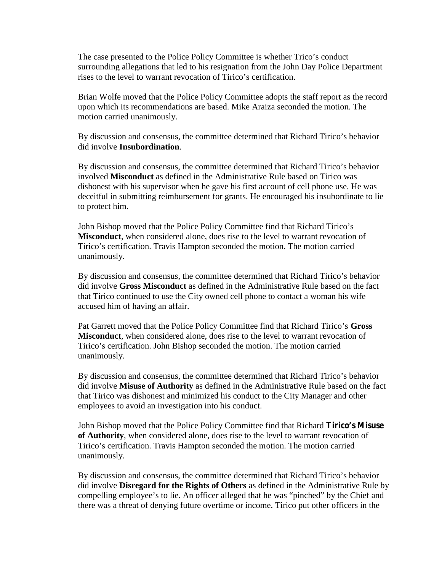The case presented to the Police Policy Committee is whether Trico's conduct surrounding allegations that led to his resignation from the John Day Police Department rises to the level to warrant revocation of Tirico's certification.

Brian Wolfe moved that the Police Policy Committee adopts the staff report as the record upon which its recommendations are based. Mike Araiza seconded the motion. The motion carried unanimously.

By discussion and consensus, the committee determined that Richard Tirico's behavior did involve **Insubordination**.

By discussion and consensus, the committee determined that Richard Tirico's behavior involved **Misconduct** as defined in the Administrative Rule based on Tirico was dishonest with his supervisor when he gave his first account of cell phone use. He was deceitful in submitting reimbursement for grants. He encouraged his insubordinate to lie to protect him.

John Bishop moved that the Police Policy Committee find that Richard Tirico's **Misconduct**, when considered alone, does rise to the level to warrant revocation of Tirico's certification. Travis Hampton seconded the motion. The motion carried unanimously.

By discussion and consensus, the committee determined that Richard Tirico's behavior did involve **Gross Misconduct** as defined in the Administrative Rule based on the fact that Tirico continued to use the City owned cell phone to contact a woman his wife accused him of having an affair.

Pat Garrett moved that the Police Policy Committee find that Richard Tirico's **Gross Misconduct**, when considered alone, does rise to the level to warrant revocation of Tirico's certification. John Bishop seconded the motion. The motion carried unanimously.

By discussion and consensus, the committee determined that Richard Tirico's behavior did involve **Misuse of Authority** as defined in the Administrative Rule based on the fact that Tirico was dishonest and minimized his conduct to the City Manager and other employees to avoid an investigation into his conduct.

John Bishop moved that the Police Policy Committee find that Richard **Tirico's Misuse of Authority**, when considered alone, does rise to the level to warrant revocation of Tirico's certification. Travis Hampton seconded the motion. The motion carried unanimously.

By discussion and consensus, the committee determined that Richard Tirico's behavior did involve **Disregard for the Rights of Others** as defined in the Administrative Rule by compelling employee's to lie. An officer alleged that he was "pinched" by the Chief and there was a threat of denying future overtime or income. Tirico put other officers in the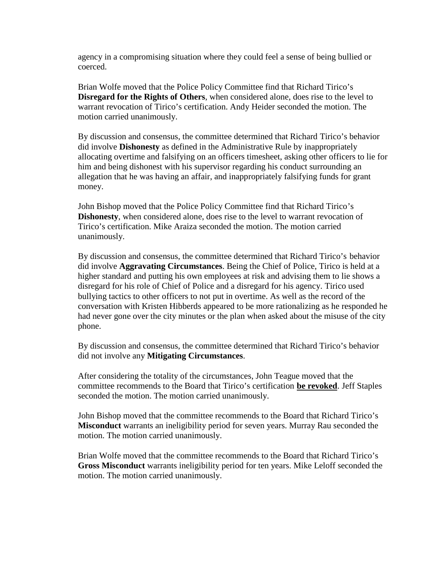agency in a compromising situation where they could feel a sense of being bullied or coerced.

Brian Wolfe moved that the Police Policy Committee find that Richard Tirico's **Disregard for the Rights of Others**, when considered alone, does rise to the level to warrant revocation of Tirico's certification. Andy Heider seconded the motion. The motion carried unanimously.

By discussion and consensus, the committee determined that Richard Tirico's behavior did involve **Dishonesty** as defined in the Administrative Rule by inappropriately allocating overtime and falsifying on an officers timesheet, asking other officers to lie for him and being dishonest with his supervisor regarding his conduct surrounding an allegation that he was having an affair, and inappropriately falsifying funds for grant money.

John Bishop moved that the Police Policy Committee find that Richard Tirico's **Dishonesty**, when considered alone, does rise to the level to warrant revocation of Tirico's certification. Mike Araiza seconded the motion. The motion carried unanimously.

By discussion and consensus, the committee determined that Richard Tirico's behavior did involve **Aggravating Circumstances**. Being the Chief of Police, Tirico is held at a higher standard and putting his own employees at risk and advising them to lie shows a disregard for his role of Chief of Police and a disregard for his agency. Tirico used bullying tactics to other officers to not put in overtime. As well as the record of the conversation with Kristen Hibberds appeared to be more rationalizing as he responded he had never gone over the city minutes or the plan when asked about the misuse of the city phone.

By discussion and consensus, the committee determined that Richard Tirico's behavior did not involve any **Mitigating Circumstances**.

After considering the totality of the circumstances, John Teague moved that the committee recommends to the Board that Tirico's certification **be revoked**. Jeff Staples seconded the motion. The motion carried unanimously.

John Bishop moved that the committee recommends to the Board that Richard Tirico's **Misconduct** warrants an ineligibility period for seven years. Murray Rau seconded the motion. The motion carried unanimously.

Brian Wolfe moved that the committee recommends to the Board that Richard Tirico's **Gross Misconduct** warrants ineligibility period for ten years. Mike Leloff seconded the motion. The motion carried unanimously.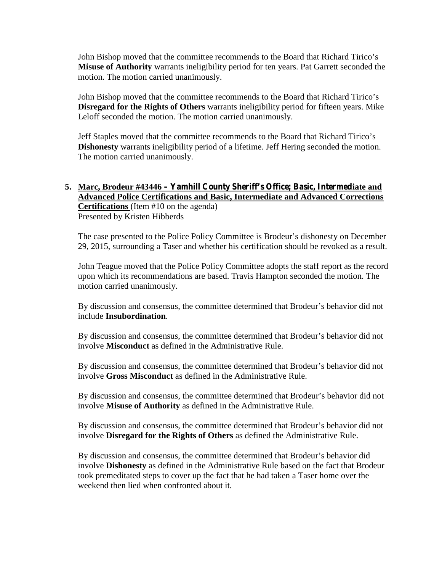John Bishop moved that the committee recommends to the Board that Richard Tirico's **Misuse of Authority** warrants ineligibility period for ten years. Pat Garrett seconded the motion. The motion carried unanimously.

John Bishop moved that the committee recommends to the Board that Richard Tirico's **Disregard for the Rights of Others** warrants ineligibility period for fifteen years. Mike Leloff seconded the motion. The motion carried unanimously.

Jeff Staples moved that the committee recommends to the Board that Richard Tirico's **Dishonesty** warrants ineligibility period of a lifetime. Jeff Hering seconded the motion. The motion carried unanimously.

## **5. Marc, Brodeur #43446 – Yamhill County Sheriff's Office; Basic, Intermediate and Advanced Police Certifications and Basic, Intermediate and Advanced Corrections Certifications** (Item #10 on the agenda) Presented by Kristen Hibberds

The case presented to the Police Policy Committee is Brodeur's dishonesty on December 29, 2015, surrounding a Taser and whether his certification should be revoked as a result.

John Teague moved that the Police Policy Committee adopts the staff report as the record upon which its recommendations are based. Travis Hampton seconded the motion. The motion carried unanimously.

By discussion and consensus, the committee determined that Brodeur's behavior did not include **Insubordination**.

By discussion and consensus, the committee determined that Brodeur's behavior did not involve **Misconduct** as defined in the Administrative Rule.

By discussion and consensus, the committee determined that Brodeur's behavior did not involve **Gross Misconduct** as defined in the Administrative Rule.

By discussion and consensus, the committee determined that Brodeur's behavior did not involve **Misuse of Authority** as defined in the Administrative Rule.

By discussion and consensus, the committee determined that Brodeur's behavior did not involve **Disregard for the Rights of Others** as defined the Administrative Rule.

By discussion and consensus, the committee determined that Brodeur's behavior did involve **Dishonesty** as defined in the Administrative Rule based on the fact that Brodeur took premeditated steps to cover up the fact that he had taken a Taser home over the weekend then lied when confronted about it.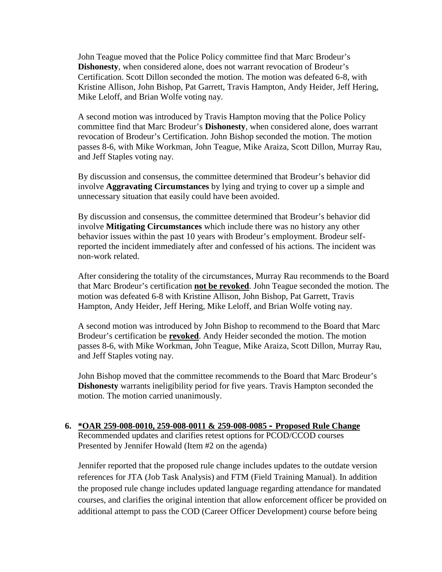John Teague moved that the Police Policy committee find that Marc Brodeur's **Dishonesty**, when considered alone, does not warrant revocation of Brodeur's Certification. Scott Dillon seconded the motion. The motion was defeated 6-8, with Kristine Allison, John Bishop, Pat Garrett, Travis Hampton, Andy Heider, Jeff Hering, Mike Leloff, and Brian Wolfe voting nay.

A second motion was introduced by Travis Hampton moving that the Police Policy committee find that Marc Brodeur's **Dishonesty**, when considered alone, does warrant revocation of Brodeur's Certification. John Bishop seconded the motion. The motion passes 8-6, with Mike Workman, John Teague, Mike Araiza, Scott Dillon, Murray Rau, and Jeff Staples voting nay.

By discussion and consensus, the committee determined that Brodeur's behavior did involve **Aggravating Circumstances** by lying and trying to cover up a simple and unnecessary situation that easily could have been avoided.

By discussion and consensus, the committee determined that Brodeur's behavior did involve **Mitigating Circumstances** which include there was no history any other behavior issues within the past 10 years with Brodeur's employment. Brodeur selfreported the incident immediately after and confessed of his actions. The incident was non-work related.

After considering the totality of the circumstances, Murray Rau recommends to the Board that Marc Brodeur's certification **not be revoked**. John Teague seconded the motion. The motion was defeated 6-8 with Kristine Allison, John Bishop, Pat Garrett, Travis Hampton, Andy Heider, Jeff Hering, Mike Leloff, and Brian Wolfe voting nay.

A second motion was introduced by John Bishop to recommend to the Board that Marc Brodeur's certification be **revoked**. Andy Heider seconded the motion. The motion passes 8-6, with Mike Workman, John Teague, Mike Araiza, Scott Dillon, Murray Rau, and Jeff Staples voting nay.

John Bishop moved that the committee recommends to the Board that Marc Brodeur's **Dishonesty** warrants ineligibility period for five years. Travis Hampton seconded the motion. The motion carried unanimously.

#### **6. \*OAR 259-008-0010, 259-008-0011 & 259-008-0085 – Proposed Rule Change** Recommended updates and clarifies retest options for PCOD/CCOD courses Presented by Jennifer Howald (Item #2 on the agenda)

Jennifer reported that the proposed rule change includes updates to the outdate version references for JTA (Job Task Analysis) and FTM (Field Training Manual). In addition the proposed rule change includes updated language regarding attendance for mandated courses, and clarifies the original intention that allow enforcement officer be provided on additional attempt to pass the COD (Career Officer Development) course before being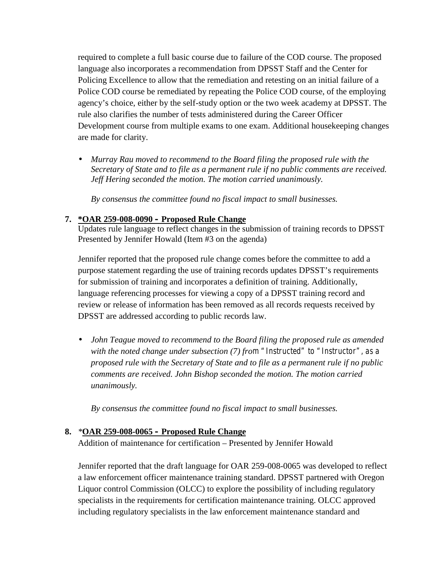required to complete a full basic course due to failure of the COD course. The proposed language also incorporates a recommendation from DPSST Staff and the Center for Policing Excellence to allow that the remediation and retesting on an initial failure of a Police COD course be remediated by repeating the Police COD course, of the employing agency's choice, either by the self-study option or the two week academy at DPSST. The rule also clarifies the number of tests administered during the Career Officer Development course from multiple exams to one exam. Additional housekeeping changes are made for clarity.

 *Murray Rau moved to recommend to the Board filing the proposed rule with the Secretary of State and to file as a permanent rule if no public comments are received. Jeff Hering seconded the motion. The motion carried unanimously.*

*By consensus the committee found no fiscal impact to small businesses.*

## **7. \*OAR 259-008-0090 – Proposed Rule Change**

Updates rule language to reflect changes in the submission of training records to DPSST Presented by Jennifer Howald (Item #3 on the agenda)

Jennifer reported that the proposed rule change comes before the committee to add a purpose statement regarding the use of training records updates DPSST's requirements for submission of training and incorporates a definition of training. Additionally, language referencing processes for viewing a copy of a DPSST training record and review or release of information has been removed as all records requests received by DPSST are addressed according to public records law.

 *John Teague moved to recommend to the Board filing the proposed rule as amended with the noted change under subsection (7) from "Instructed" to "Instructor", as a proposed rule with the Secretary of State and to file as a permanent rule if no public comments are received. John Bishop seconded the motion. The motion carried unanimously.*

*By consensus the committee found no fiscal impact to small businesses.*

## **8.** *\****OAR 259-008-0065 – Proposed Rule Change**

Addition of maintenance for certification – Presented by Jennifer Howald

Jennifer reported that the draft language for OAR 259-008-0065 was developed to reflect a law enforcement officer maintenance training standard. DPSST partnered with Oregon Liquor control Commission (OLCC) to explore the possibility of including regulatory specialists in the requirements for certification maintenance training. OLCC approved including regulatory specialists in the law enforcement maintenance standard and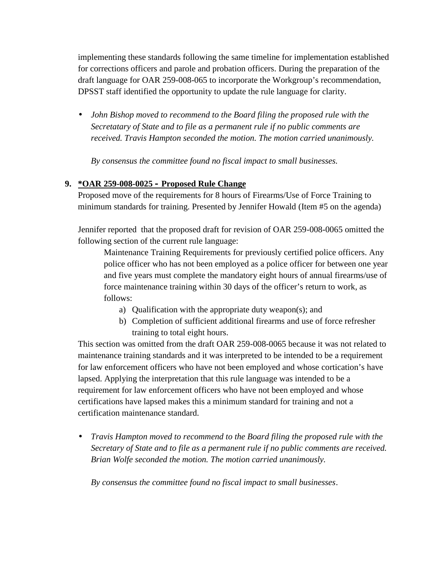implementing these standards following the same timeline for implementation established for corrections officers and parole and probation officers. During the preparation of the draft language for OAR 259-008-065 to incorporate the Workgroup's recommendation, DPSST staff identified the opportunity to update the rule language for clarity.

 *John Bishop moved to recommend to the Board filing the proposed rule with the Secretatary of State and to file as a permanent rule if no public comments are received. Travis Hampton seconded the motion. The motion carried unanimously.*

*By consensus the committee found no fiscal impact to small businesses.*

## **9. \*OAR 259-008-0025 – Proposed Rule Change**

Proposed move of the requirements for 8 hours of Firearms/Use of Force Training to minimum standards for training. Presented by Jennifer Howald (Item #5 on the agenda)

Jennifer reported that the proposed draft for revision of OAR 259-008-0065 omitted the following section of the current rule language:

Maintenance Training Requirements for previously certified police officers. Any police officer who has not been employed as a police officer for between one year and five years must complete the mandatory eight hours of annual firearms/use of force maintenance training within 30 days of the officer's return to work, as follows:

- a) Qualification with the appropriate duty weapon(s); and
- b) Completion of sufficient additional firearms and use of force refresher training to total eight hours.

This section was omitted from the draft OAR 259-008-0065 because it was not related to maintenance training standards and it was interpreted to be intended to be a requirement for law enforcement officers who have not been employed and whose cortication's have lapsed. Applying the interpretation that this rule language was intended to be a requirement for law enforcement officers who have not been employed and whose certifications have lapsed makes this a minimum standard for training and not a certification maintenance standard.

 *Travis Hampton moved to recommend to the Board filing the proposed rule with the Secretary of State and to file as a permanent rule if no public comments are received. Brian Wolfe seconded the motion. The motion carried unanimously.*

*By consensus the committee found no fiscal impact to small businesses*.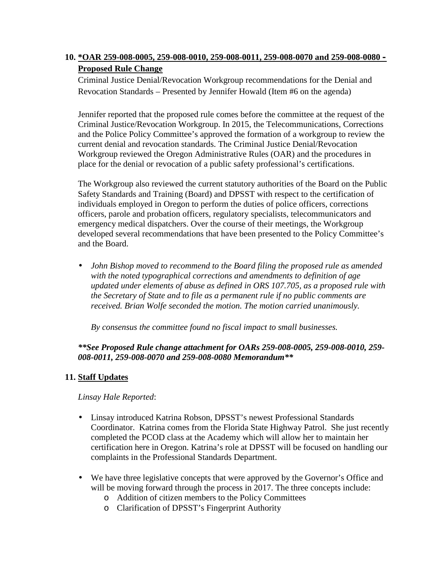## **10. \*OAR 259-008-0005, 259-008-0010, 259-008-0011, 259-008-0070 and 259-008-0080 – Proposed Rule Change**

Criminal Justice Denial/Revocation Workgroup recommendations for the Denial and Revocation Standards – Presented by Jennifer Howald (Item #6 on the agenda)

Jennifer reported that the proposed rule comes before the committee at the request of the Criminal Justice/Revocation Workgroup. In 2015, the Telecommunications, Corrections and the Police Policy Committee's approved the formation of a workgroup to review the current denial and revocation standards. The Criminal Justice Denial/Revocation Workgroup reviewed the Oregon Administrative Rules (OAR) and the procedures in place for the denial or revocation of a public safety professional's certifications.

The Workgroup also reviewed the current statutory authorities of the Board on the Public Safety Standards and Training (Board) and DPSST with respect to the certification of individuals employed in Oregon to perform the duties of police officers, corrections officers, parole and probation officers, regulatory specialists, telecommunicators and emergency medical dispatchers. Over the course of their meetings, the Workgroup developed several recommendations that have been presented to the Policy Committee's and the Board.

 *John Bishop moved to recommend to the Board filing the proposed rule as amended with the noted typographical corrections and amendments to definition of age updated under elements of abuse as defined in ORS 107.705, as a proposed rule with the Secretary of State and to file as a permanent rule if no public comments are received. Brian Wolfe seconded the motion. The motion carried unanimously.*

*By consensus the committee found no fiscal impact to small businesses.*

## *\*\*See Proposed Rule change attachment for OARs 259-008-0005, 259-008-0010, 259- 008-0011, 259-008-0070 and 259-008-0080 Memorandum\*\**

## **11. Staff Updates**

*Linsay Hale Reported*:

- Linsay introduced Katrina Robson, DPSST's newest Professional Standards Coordinator. Katrina comes from the Florida State Highway Patrol. She just recently completed the PCOD class at the Academy which will allow her to maintain her certification here in Oregon. Katrina's role at DPSST will be focused on handling our complaints in the Professional Standards Department.
- We have three legislative concepts that were approved by the Governor's Office and will be moving forward through the process in 2017. The three concepts include:
	- o Addition of citizen members to the Policy Committees
	- o Clarification of DPSST's Fingerprint Authority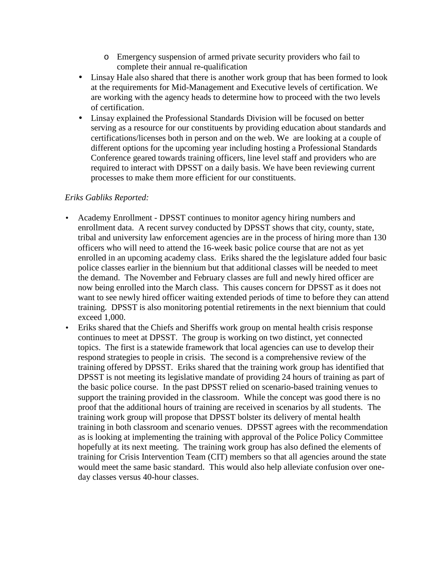- o Emergency suspension of armed private security providers who fail to complete their annual re-qualification
- Linsay Hale also shared that there is another work group that has been formed to look at the requirements for Mid-Management and Executive levels of certification. We are working with the agency heads to determine how to proceed with the two levels of certification.
- Linsay explained the Professional Standards Division will be focused on better serving as a resource for our constituents by providing education about standards and certifications/licenses both in person and on the web. We are looking at a couple of different options for the upcoming year including hosting a Professional Standards Conference geared towards training officers, line level staff and providers who are required to interact with DPSST on a daily basis. We have been reviewing current processes to make them more efficient for our constituents.

## *Eriks Gabliks Reported:*

- Academy Enrollment DPSST continues to monitor agency hiring numbers and enrollment data. A recent survey conducted by DPSST shows that city, county, state, tribal and university law enforcement agencies are in the process of hiring more than 130 officers who will need to attend the 16-week basic police course that are not as yet enrolled in an upcoming academy class. Eriks shared the the legislature added four basic police classes earlier in the biennium but that additional classes will be needed to meet the demand. The November and February classes are full and newly hired officer are now being enrolled into the March class. This causes concern for DPSST as it does not want to see newly hired officer waiting extended periods of time to before they can attend training. DPSST is also monitoring potential retirements in the next biennium that could exceed 1,000.
- Eriks shared that the Chiefs and Sheriffs work group on mental health crisis response continues to meet at DPSST. The group is working on two distinct, yet connected topics. The first is a statewide framework that local agencies can use to develop their respond strategies to people in crisis. The second is a comprehensive review of the training offered by DPSST. Eriks shared that the training work group has identified that DPSST is not meeting its legislative mandate of providing 24 hours of training as part of the basic police course. In the past DPSST relied on scenario-based training venues to support the training provided in the classroom. While the concept was good there is no proof that the additional hours of training are received in scenarios by all students. The training work group will propose that DPSST bolster its delivery of mental health training in both classroom and scenario venues. DPSST agrees with the recommendation as is looking at implementing the training with approval of the Police Policy Committee hopefully at its next meeting. The training work group has also defined the elements of training for Crisis Intervention Team (CIT) members so that all agencies around the state would meet the same basic standard. This would also help alleviate confusion over one day classes versus 40-hour classes.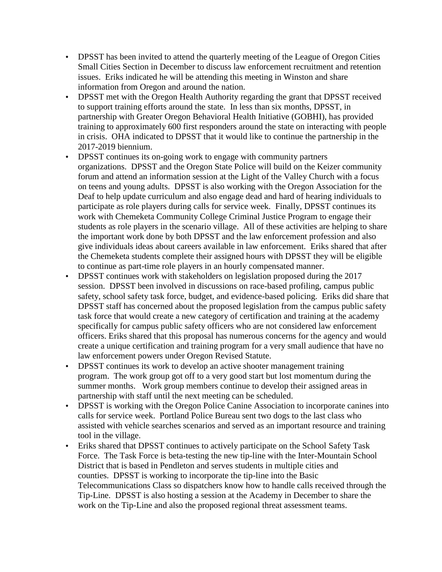- DPSST has been invited to attend the quarterly meeting of the League of Oregon Cities Small Cities Section in December to discuss law enforcement recruitment and retention issues. Eriks indicated he will be attending this meeting in Winston and share information from Oregon and around the nation.
- DPSST met with the Oregon Health Authority regarding the grant that DPSST received to support training efforts around the state. In less than six months, DPSST, in partnership with Greater Oregon Behavioral Health Initiative (GOBHI), has provided training to approximately 600 first responders around the state on interacting with people in crisis. OHA indicated to DPSST that it would like to continue the partnership in the 2017-2019 biennium.
- DPSST continues its on-going work to engage with community partners organizations. DPSST and the Oregon State Police will build on the Keizer community forum and attend an information session at the Light of the Valley Church with a focus on teens and young adults. DPSST is also working with the Oregon Association for the Deaf to help update curriculum and also engage dead and hard of hearing individuals to participate as role players during calls for service week. Finally, DPSST continues its work with Chemeketa Community College Criminal Justice Program to engage their students as role players in the scenario village. All of these activities are helping to share the important work done by both DPSST and the law enforcement profession and also give individuals ideas about careers available in law enforcement. Eriks shared that after the Chemeketa students complete their assigned hours with DPSST they will be eligible to continue as part-time role players in an hourly compensated manner.
- DPSST continues work with stakeholders on legislation proposed during the 2017 session. DPSST been involved in discussions on race-based profiling, campus public safety, school safety task force, budget, and evidence-based policing. Eriks did share that DPSST staff has concerned about the proposed legislation from the campus public safety task force that would create a new category of certification and training at the academy specifically for campus public safety officers who are not considered law enforcement officers. Eriks shared that this proposal has numerous concerns for the agency and would create a unique certification and training program for a very small audience that have no law enforcement powers under Oregon Revised Statute.
- DPSST continues its work to develop an active shooter management training program. The work group got off to a very good start but lost momentum during the summer months. Work group members continue to develop their assigned areas in partnership with staff until the next meeting can be scheduled.
- DPSST is working with the Oregon Police Canine Association to incorporate canines into calls for service week. Portland Police Bureau sent two dogs to the last class who assisted with vehicle searches scenarios and served as an important resource and training tool in the village.
- Eriks shared that DPSST continues to actively participate on the School Safety Task Force. The Task Force is beta-testing the new tip-line with the Inter-Mountain School District that is based in Pendleton and serves students in multiple cities and counties. DPSST is working to incorporate the tip-line into the Basic Telecommunications Class so dispatchers know how to handle calls received through the Tip-Line. DPSST is also hosting a session at the Academy in December to share the work on the Tip-Line and also the proposed regional threat assessment teams.